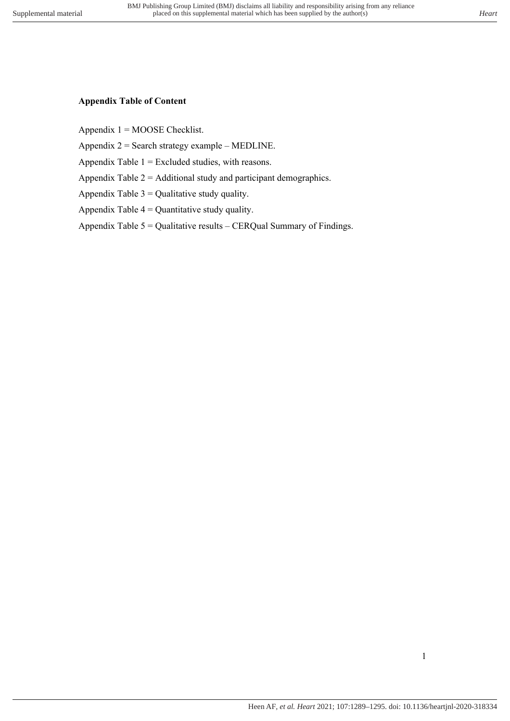## **Appendix Table of Content**

Appendix  $1 = MOOSE$  Checklist.

Appendix  $2 =$  Search strategy example – MEDLINE.

Appendix Table 1 = Excluded studies, with reasons.

Appendix Table 2 = Additional study and participant demographics.

Appendix Table  $3 =$  Qualitative study quality.

Appendix Table  $4 =$  Quantitative study quality.

Appendix Table  $5 =$  Qualitative results – CERQual Summary of Findings.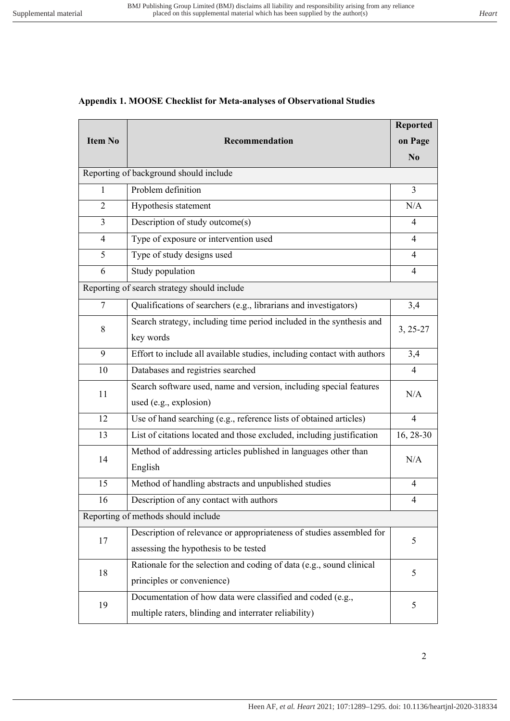### **Appendix 1. MOOSE Checklist for Meta-analyses of Observational Studies**

|                                        |                                                                         | <b>Reported</b> |  |  |  |
|----------------------------------------|-------------------------------------------------------------------------|-----------------|--|--|--|
| <b>Item No</b>                         | Recommendation                                                          | on Page         |  |  |  |
|                                        |                                                                         | N <sub>0</sub>  |  |  |  |
| Reporting of background should include |                                                                         |                 |  |  |  |
| 1                                      | Problem definition                                                      | $\overline{3}$  |  |  |  |
| 2                                      | Hypothesis statement                                                    | N/A             |  |  |  |
| 3                                      | Description of study outcome(s)                                         | 4               |  |  |  |
| 4                                      | Type of exposure or intervention used                                   | $\overline{4}$  |  |  |  |
| 5                                      | Type of study designs used                                              | 4               |  |  |  |
| 6                                      | Study population                                                        | $\overline{4}$  |  |  |  |
|                                        | Reporting of search strategy should include                             |                 |  |  |  |
| $\tau$                                 | Qualifications of searchers (e.g., librarians and investigators)        | 3,4             |  |  |  |
|                                        | Search strategy, including time period included in the synthesis and    |                 |  |  |  |
| 8                                      | key words                                                               | $3, 25-27$      |  |  |  |
| 9                                      | Effort to include all available studies, including contact with authors | 3,4             |  |  |  |
| 10                                     | Databases and registries searched                                       | $\overline{4}$  |  |  |  |
| 11                                     | Search software used, name and version, including special features      | N/A             |  |  |  |
|                                        | used (e.g., explosion)                                                  |                 |  |  |  |
| 12                                     | Use of hand searching (e.g., reference lists of obtained articles)      | $\overline{4}$  |  |  |  |
| 13                                     | List of citations located and those excluded, including justification   | 16, 28-30       |  |  |  |
| 14                                     | Method of addressing articles published in languages other than         |                 |  |  |  |
|                                        | English                                                                 | N/A             |  |  |  |
| 15                                     | Method of handling abstracts and unpublished studies                    | 4               |  |  |  |
| 16                                     | Description of any contact with authors                                 | 4               |  |  |  |
| Reporting of methods should include    |                                                                         |                 |  |  |  |
| 17                                     | Description of relevance or appropriateness of studies assembled for    | 5               |  |  |  |
|                                        | assessing the hypothesis to be tested                                   |                 |  |  |  |
| 18                                     | Rationale for the selection and coding of data (e.g., sound clinical    | 5               |  |  |  |
|                                        | principles or convenience)                                              |                 |  |  |  |
| 19                                     | Documentation of how data were classified and coded (e.g.,              | 5               |  |  |  |
|                                        | multiple raters, blinding and interrater reliability)                   |                 |  |  |  |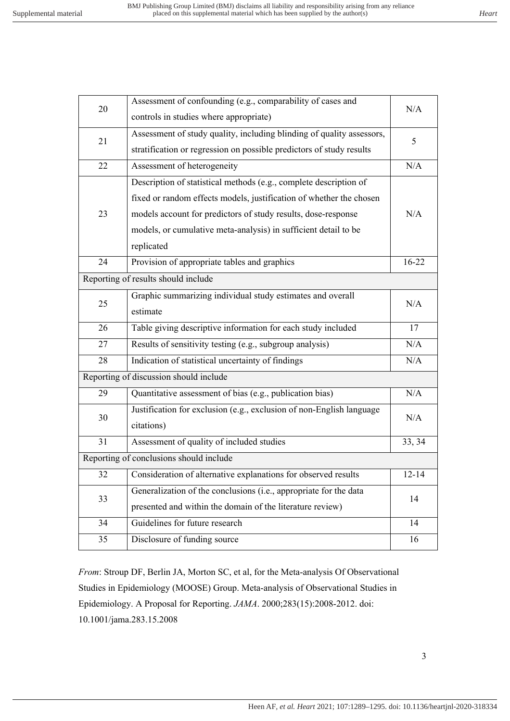| N/A<br>controls in studies where appropriate)<br>Assessment of study quality, including blinding of quality assessors,<br>21<br>5<br>stratification or regression on possible predictors of study results<br>22<br>Assessment of heterogeneity<br>N/A<br>Description of statistical methods (e.g., complete description of<br>fixed or random effects models, justification of whether the chosen<br>23<br>models account for predictors of study results, dose-response<br>N/A<br>models, or cumulative meta-analysis) in sufficient detail to be<br>replicated<br>$16 - 22$<br>Provision of appropriate tables and graphics<br>24<br>Reporting of results should include<br>Graphic summarizing individual study estimates and overall<br>25<br>N/A<br>estimate<br>Table giving descriptive information for each study included<br>26<br>17<br>Results of sensitivity testing (e.g., subgroup analysis)<br>N/A<br>27<br>Indication of statistical uncertainty of findings<br>N/A<br>28<br>Reporting of discussion should include<br>Quantitative assessment of bias (e.g., publication bias)<br>N/A<br>29<br>Justification for exclusion (e.g., exclusion of non-English language<br>30<br>N/A<br>citations)<br>Assessment of quality of included studies<br>31<br>33, 34<br>Reporting of conclusions should include<br>$12 - 14$<br>Consideration of alternative explanations for observed results<br>32<br>Generalization of the conclusions (i.e., appropriate for the data<br>33<br>14<br>presented and within the domain of the literature review)<br>Guidelines for future research<br>34<br>14<br>35<br>Disclosure of funding source<br>16 | 20 | Assessment of confounding (e.g., comparability of cases and |  |  |
|-----------------------------------------------------------------------------------------------------------------------------------------------------------------------------------------------------------------------------------------------------------------------------------------------------------------------------------------------------------------------------------------------------------------------------------------------------------------------------------------------------------------------------------------------------------------------------------------------------------------------------------------------------------------------------------------------------------------------------------------------------------------------------------------------------------------------------------------------------------------------------------------------------------------------------------------------------------------------------------------------------------------------------------------------------------------------------------------------------------------------------------------------------------------------------------------------------------------------------------------------------------------------------------------------------------------------------------------------------------------------------------------------------------------------------------------------------------------------------------------------------------------------------------------------------------------------------------------------------------------------------------------------------|----|-------------------------------------------------------------|--|--|
|                                                                                                                                                                                                                                                                                                                                                                                                                                                                                                                                                                                                                                                                                                                                                                                                                                                                                                                                                                                                                                                                                                                                                                                                                                                                                                                                                                                                                                                                                                                                                                                                                                                     |    |                                                             |  |  |
|                                                                                                                                                                                                                                                                                                                                                                                                                                                                                                                                                                                                                                                                                                                                                                                                                                                                                                                                                                                                                                                                                                                                                                                                                                                                                                                                                                                                                                                                                                                                                                                                                                                     |    |                                                             |  |  |
|                                                                                                                                                                                                                                                                                                                                                                                                                                                                                                                                                                                                                                                                                                                                                                                                                                                                                                                                                                                                                                                                                                                                                                                                                                                                                                                                                                                                                                                                                                                                                                                                                                                     |    |                                                             |  |  |
|                                                                                                                                                                                                                                                                                                                                                                                                                                                                                                                                                                                                                                                                                                                                                                                                                                                                                                                                                                                                                                                                                                                                                                                                                                                                                                                                                                                                                                                                                                                                                                                                                                                     |    |                                                             |  |  |
|                                                                                                                                                                                                                                                                                                                                                                                                                                                                                                                                                                                                                                                                                                                                                                                                                                                                                                                                                                                                                                                                                                                                                                                                                                                                                                                                                                                                                                                                                                                                                                                                                                                     |    |                                                             |  |  |
|                                                                                                                                                                                                                                                                                                                                                                                                                                                                                                                                                                                                                                                                                                                                                                                                                                                                                                                                                                                                                                                                                                                                                                                                                                                                                                                                                                                                                                                                                                                                                                                                                                                     |    |                                                             |  |  |
|                                                                                                                                                                                                                                                                                                                                                                                                                                                                                                                                                                                                                                                                                                                                                                                                                                                                                                                                                                                                                                                                                                                                                                                                                                                                                                                                                                                                                                                                                                                                                                                                                                                     |    |                                                             |  |  |
|                                                                                                                                                                                                                                                                                                                                                                                                                                                                                                                                                                                                                                                                                                                                                                                                                                                                                                                                                                                                                                                                                                                                                                                                                                                                                                                                                                                                                                                                                                                                                                                                                                                     |    |                                                             |  |  |
|                                                                                                                                                                                                                                                                                                                                                                                                                                                                                                                                                                                                                                                                                                                                                                                                                                                                                                                                                                                                                                                                                                                                                                                                                                                                                                                                                                                                                                                                                                                                                                                                                                                     |    |                                                             |  |  |
|                                                                                                                                                                                                                                                                                                                                                                                                                                                                                                                                                                                                                                                                                                                                                                                                                                                                                                                                                                                                                                                                                                                                                                                                                                                                                                                                                                                                                                                                                                                                                                                                                                                     |    |                                                             |  |  |
|                                                                                                                                                                                                                                                                                                                                                                                                                                                                                                                                                                                                                                                                                                                                                                                                                                                                                                                                                                                                                                                                                                                                                                                                                                                                                                                                                                                                                                                                                                                                                                                                                                                     |    |                                                             |  |  |
|                                                                                                                                                                                                                                                                                                                                                                                                                                                                                                                                                                                                                                                                                                                                                                                                                                                                                                                                                                                                                                                                                                                                                                                                                                                                                                                                                                                                                                                                                                                                                                                                                                                     |    |                                                             |  |  |
|                                                                                                                                                                                                                                                                                                                                                                                                                                                                                                                                                                                                                                                                                                                                                                                                                                                                                                                                                                                                                                                                                                                                                                                                                                                                                                                                                                                                                                                                                                                                                                                                                                                     |    |                                                             |  |  |
|                                                                                                                                                                                                                                                                                                                                                                                                                                                                                                                                                                                                                                                                                                                                                                                                                                                                                                                                                                                                                                                                                                                                                                                                                                                                                                                                                                                                                                                                                                                                                                                                                                                     |    |                                                             |  |  |
|                                                                                                                                                                                                                                                                                                                                                                                                                                                                                                                                                                                                                                                                                                                                                                                                                                                                                                                                                                                                                                                                                                                                                                                                                                                                                                                                                                                                                                                                                                                                                                                                                                                     |    |                                                             |  |  |
|                                                                                                                                                                                                                                                                                                                                                                                                                                                                                                                                                                                                                                                                                                                                                                                                                                                                                                                                                                                                                                                                                                                                                                                                                                                                                                                                                                                                                                                                                                                                                                                                                                                     |    |                                                             |  |  |
|                                                                                                                                                                                                                                                                                                                                                                                                                                                                                                                                                                                                                                                                                                                                                                                                                                                                                                                                                                                                                                                                                                                                                                                                                                                                                                                                                                                                                                                                                                                                                                                                                                                     |    |                                                             |  |  |
|                                                                                                                                                                                                                                                                                                                                                                                                                                                                                                                                                                                                                                                                                                                                                                                                                                                                                                                                                                                                                                                                                                                                                                                                                                                                                                                                                                                                                                                                                                                                                                                                                                                     |    |                                                             |  |  |
|                                                                                                                                                                                                                                                                                                                                                                                                                                                                                                                                                                                                                                                                                                                                                                                                                                                                                                                                                                                                                                                                                                                                                                                                                                                                                                                                                                                                                                                                                                                                                                                                                                                     |    |                                                             |  |  |
|                                                                                                                                                                                                                                                                                                                                                                                                                                                                                                                                                                                                                                                                                                                                                                                                                                                                                                                                                                                                                                                                                                                                                                                                                                                                                                                                                                                                                                                                                                                                                                                                                                                     |    |                                                             |  |  |
|                                                                                                                                                                                                                                                                                                                                                                                                                                                                                                                                                                                                                                                                                                                                                                                                                                                                                                                                                                                                                                                                                                                                                                                                                                                                                                                                                                                                                                                                                                                                                                                                                                                     |    |                                                             |  |  |
|                                                                                                                                                                                                                                                                                                                                                                                                                                                                                                                                                                                                                                                                                                                                                                                                                                                                                                                                                                                                                                                                                                                                                                                                                                                                                                                                                                                                                                                                                                                                                                                                                                                     |    |                                                             |  |  |
|                                                                                                                                                                                                                                                                                                                                                                                                                                                                                                                                                                                                                                                                                                                                                                                                                                                                                                                                                                                                                                                                                                                                                                                                                                                                                                                                                                                                                                                                                                                                                                                                                                                     |    |                                                             |  |  |
|                                                                                                                                                                                                                                                                                                                                                                                                                                                                                                                                                                                                                                                                                                                                                                                                                                                                                                                                                                                                                                                                                                                                                                                                                                                                                                                                                                                                                                                                                                                                                                                                                                                     |    |                                                             |  |  |
|                                                                                                                                                                                                                                                                                                                                                                                                                                                                                                                                                                                                                                                                                                                                                                                                                                                                                                                                                                                                                                                                                                                                                                                                                                                                                                                                                                                                                                                                                                                                                                                                                                                     |    |                                                             |  |  |
|                                                                                                                                                                                                                                                                                                                                                                                                                                                                                                                                                                                                                                                                                                                                                                                                                                                                                                                                                                                                                                                                                                                                                                                                                                                                                                                                                                                                                                                                                                                                                                                                                                                     |    |                                                             |  |  |
|                                                                                                                                                                                                                                                                                                                                                                                                                                                                                                                                                                                                                                                                                                                                                                                                                                                                                                                                                                                                                                                                                                                                                                                                                                                                                                                                                                                                                                                                                                                                                                                                                                                     |    |                                                             |  |  |

*From*: Stroup DF, Berlin JA, Morton SC, et al, for the Meta-analysis Of Observational Studies in Epidemiology (MOOSE) Group. Meta-analysis of Observational Studies in Epidemiology. A Proposal for Reporting. *JAMA*. 2000;283(15):2008-2012. doi: 10.1001/jama.283.15.2008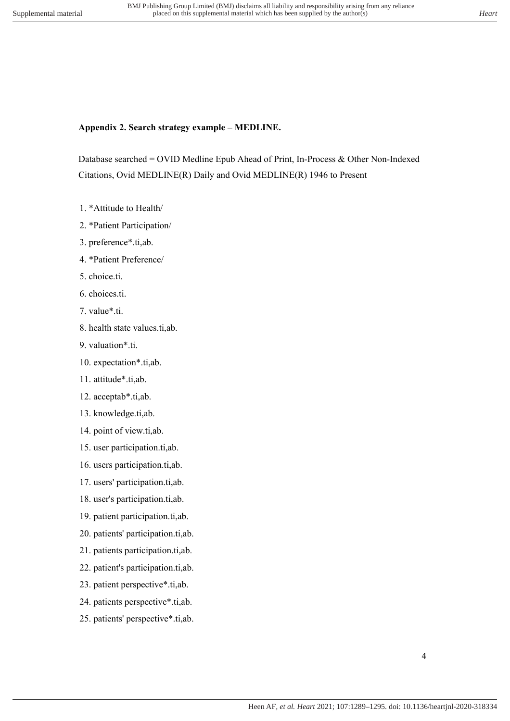# **Appendix 2. Search strategy example – MEDLINE.**

Database searched = OVID Medline Epub Ahead of Print, In-Process & Other Non-Indexed Citations, Ovid MEDLINE(R) Daily and Ovid MEDLINE(R) 1946 to Present

- 1. \*Attitude to Health/
- 2. \*Patient Participation/
- 3. preference\*.ti,ab.
- 4. \*Patient Preference/
- 5. choice.ti.
- 6. choices.ti.
- 7. value\*.ti.
- 8. health state values.ti,ab.
- 9. valuation\*.ti.
- 10. expectation\*.ti,ab.
- 11. attitude\*.ti,ab.
- 12. acceptab\*.ti,ab.
- 13. knowledge.ti,ab.
- 14. point of view.ti,ab.
- 15. user participation.ti,ab.
- 16. users participation.ti,ab.
- 17. users' participation.ti,ab.
- 18. user's participation.ti,ab.
- 19. patient participation.ti,ab.
- 20. patients' participation.ti,ab.
- 21. patients participation.ti,ab.
- 22. patient's participation.ti,ab.
- 23. patient perspective\*.ti,ab.
- 24. patients perspective\*.ti,ab.
- 25. patients' perspective\*.ti,ab.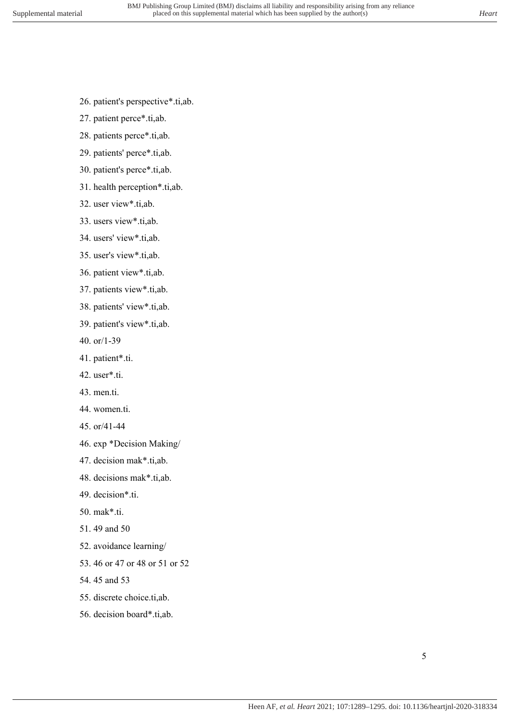- 26. patient's perspective\*.ti,ab.
- 27. patient perce\*.ti,ab.
- 28. patients perce\*.ti,ab.
- 29. patients' perce\*.ti,ab.
- 30. patient's perce\*.ti,ab.
- 31. health perception\*.ti,ab.
- 32. user view\*.ti,ab.
- 33. users view\*.ti,ab.
- 34. users' view\*.ti,ab.
- 35. user's view\*.ti,ab.
- 36. patient view\*.ti,ab.
- 37. patients view\*.ti,ab.
- 38. patients' view\*.ti,ab.
- 39. patient's view\*.ti,ab.
- 40. or/1-39
- 41. patient\*.ti.
- 42. user\*.ti.
- 43. men.ti.
- 44. women.ti.
- 45. or/41-44
- 46. exp \*Decision Making/
- 47. decision mak\*.ti,ab.
- 48. decisions mak\*.ti,ab.
- 49. decision\*.ti.
- 50. mak\*.ti.
- 51. 49 and 50
- 52. avoidance learning/
- 53. 46 or 47 or 48 or 51 or 52
- 54. 45 and 53
- 55. discrete choice.ti,ab.
- 56. decision board\*.ti,ab.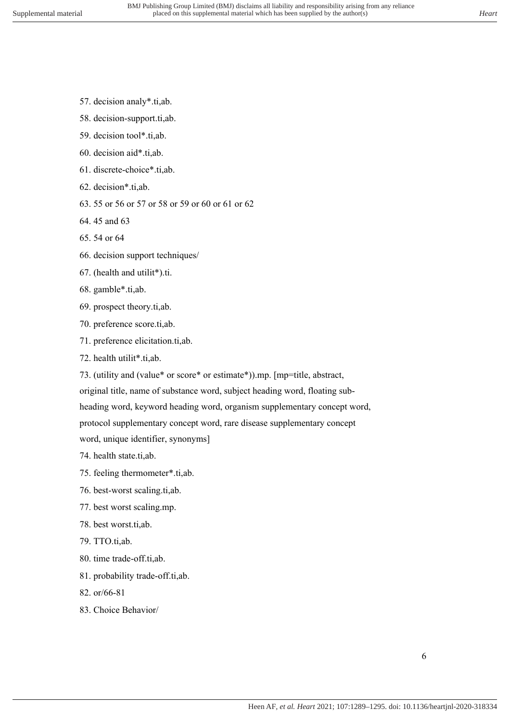- 57. decision analy\*.ti,ab.
- 58. decision-support.ti,ab.
- 59. decision tool\*.ti,ab.
- 60. decision aid\*.ti,ab.
- 61. discrete-choice\*.ti,ab.
- 62. decision\*.ti,ab.
- 63. 55 or 56 or 57 or 58 or 59 or 60 or 61 or 62
- 64. 45 and 63
- 65. 54 or 64
- 66. decision support techniques/
- 67. (health and utilit\*).ti.
- 68. gamble\*.ti,ab.
- 69. prospect theory.ti,ab.
- 70. preference score.ti,ab.
- 71. preference elicitation.ti,ab.
- 72. health utilit\*.ti,ab.

73. (utility and (value\* or score\* or estimate\*)).mp. [mp=title, abstract,

original title, name of substance word, subject heading word, floating sub-

heading word, keyword heading word, organism supplementary concept word,

protocol supplementary concept word, rare disease supplementary concept word, unique identifier, synonyms]

- 74. health state.ti,ab.
- 75. feeling thermometer\*.ti,ab.
- 76. best-worst scaling.ti,ab.
- 77. best worst scaling.mp.
- 78. best worst.ti,ab.
- 79. TTO.ti,ab.
- 80. time trade-off.ti,ab.
- 81. probability trade-off.ti,ab.
- 82. or/66-81
- 83. Choice Behavior/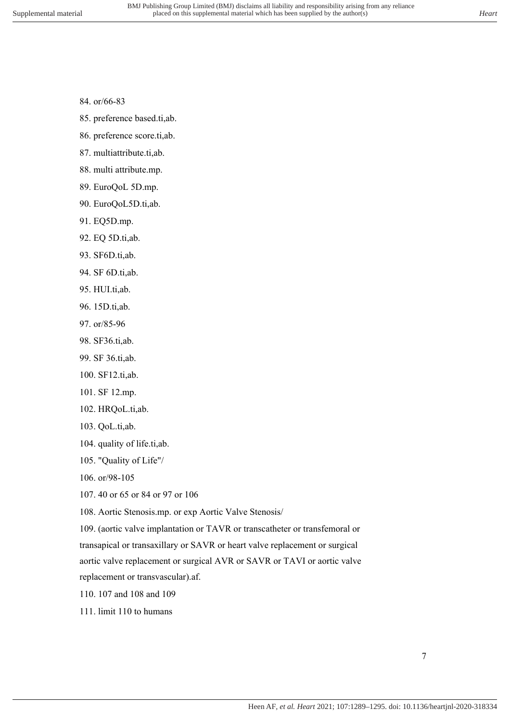- 84. or/66-83
- 85. preference based.ti,ab.
- 86. preference score.ti,ab.
- 87. multiattribute.ti,ab.
- 88. multi attribute.mp.
- 89. EuroQoL 5D.mp.
- 90. EuroQoL5D.ti,ab.
- 91. EQ5D.mp.
- 92. EQ 5D.ti,ab.
- 93. SF6D.ti,ab.
- 94. SF 6D.ti,ab.
- 95. HUI.ti,ab.
- 96. 15D.ti,ab.
- 97. or/85-96
- 98. SF36.ti,ab.
- 99. SF 36.ti,ab.
- 100. SF12.ti,ab.
- 101. SF 12.mp.
- 102. HRQoL.ti,ab.
- 103. QoL.ti,ab.
- 104. quality of life.ti,ab.
- 105. "Quality of Life"/
- 106. or/98-105
- 107. 40 or 65 or 84 or 97 or 106

108. Aortic Stenosis.mp. or exp Aortic Valve Stenosis/

109. (aortic valve implantation or TAVR or transcatheter or transfemoral or transapical or transaxillary or SAVR or heart valve replacement or surgical aortic valve replacement or surgical AVR or SAVR or TAVI or aortic valve replacement or transvascular).af.

- 110. 107 and 108 and 109
- 111. limit 110 to humans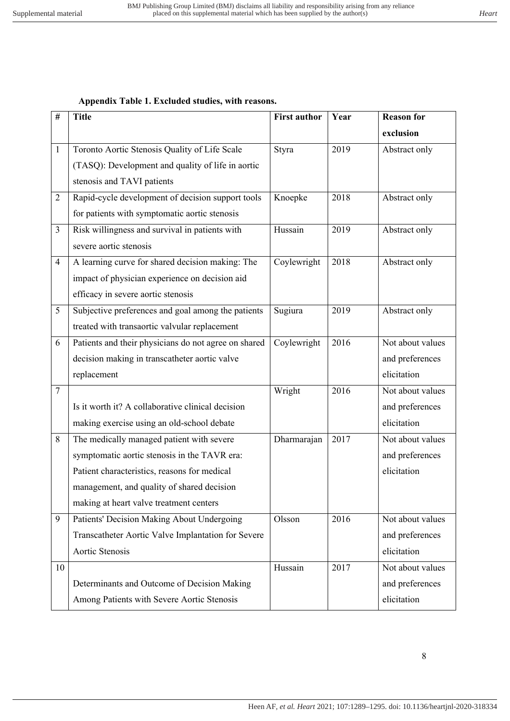#### **Appendix Table 1. Excluded studies, with reasons.**

| $\#$           | <b>Title</b>                                         | <b>First author</b> | Year | <b>Reason for</b> |
|----------------|------------------------------------------------------|---------------------|------|-------------------|
|                |                                                      |                     |      | exclusion         |
| 1              | Toronto Aortic Stenosis Quality of Life Scale        | Styra               | 2019 | Abstract only     |
|                | (TASQ): Development and quality of life in aortic    |                     |      |                   |
|                | stenosis and TAVI patients                           |                     |      |                   |
| $\overline{2}$ | Rapid-cycle development of decision support tools    | Knoepke             | 2018 | Abstract only     |
|                | for patients with symptomatic aortic stenosis        |                     |      |                   |
| $\overline{3}$ | Risk willingness and survival in patients with       | Hussain             | 2019 | Abstract only     |
|                | severe aortic stenosis                               |                     |      |                   |
| $\overline{4}$ | A learning curve for shared decision making: The     | Coylewright         | 2018 | Abstract only     |
|                | impact of physician experience on decision aid       |                     |      |                   |
|                | efficacy in severe aortic stenosis                   |                     |      |                   |
| 5              | Subjective preferences and goal among the patients   | Sugiura             | 2019 | Abstract only     |
|                | treated with transaortic valvular replacement        |                     |      |                   |
| 6              | Patients and their physicians do not agree on shared | Coylewright         | 2016 | Not about values  |
|                | decision making in transcatheter aortic valve        |                     |      | and preferences   |
|                | replacement                                          |                     |      | elicitation       |
| $\tau$         |                                                      | Wright              | 2016 | Not about values  |
|                | Is it worth it? A collaborative clinical decision    |                     |      | and preferences   |
|                | making exercise using an old-school debate           |                     |      | elicitation       |
| 8              | The medically managed patient with severe            | Dharmarajan         | 2017 | Not about values  |
|                | symptomatic aortic stenosis in the TAVR era:         |                     |      | and preferences   |
|                | Patient characteristics, reasons for medical         |                     |      | elicitation       |
|                | management, and quality of shared decision           |                     |      |                   |
|                | making at heart valve treatment centers              |                     |      |                   |
| 9              | Patients' Decision Making About Undergoing           | Olsson              | 2016 | Not about values  |
|                | Transcatheter Aortic Valve Implantation for Severe   |                     |      | and preferences   |
|                | Aortic Stenosis                                      |                     |      | elicitation       |
| 10             |                                                      | Hussain             | 2017 | Not about values  |
|                | Determinants and Outcome of Decision Making          |                     |      | and preferences   |
|                | Among Patients with Severe Aortic Stenosis           |                     |      | elicitation       |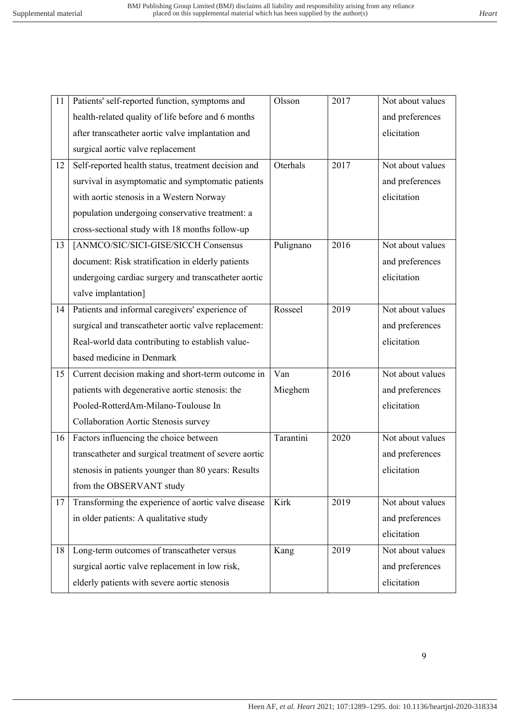| 11 | Patients' self-reported function, symptoms and        | Olsson    | 2017 | Not about values |
|----|-------------------------------------------------------|-----------|------|------------------|
|    | health-related quality of life before and 6 months    |           |      | and preferences  |
|    | after transcatheter aortic valve implantation and     |           |      | elicitation      |
|    | surgical aortic valve replacement                     |           |      |                  |
| 12 | Self-reported health status, treatment decision and   | Oterhals  | 2017 | Not about values |
|    | survival in asymptomatic and symptomatic patients     |           |      | and preferences  |
|    | with aortic stenosis in a Western Norway              |           |      | elicitation      |
|    | population undergoing conservative treatment: a       |           |      |                  |
|    | cross-sectional study with 18 months follow-up        |           |      |                  |
| 13 | [ANMCO/SIC/SICI-GISE/SICCH Consensus                  | Pulignano | 2016 | Not about values |
|    | document: Risk stratification in elderly patients     |           |      | and preferences  |
|    | undergoing cardiac surgery and transcatheter aortic   |           |      | elicitation      |
|    | valve implantation]                                   |           |      |                  |
| 14 | Patients and informal caregivers' experience of       | Rosseel   | 2019 | Not about values |
|    | surgical and transcatheter aortic valve replacement:  |           |      | and preferences  |
|    | Real-world data contributing to establish value-      |           |      | elicitation      |
|    | based medicine in Denmark                             |           |      |                  |
| 15 | Current decision making and short-term outcome in     | Van       | 2016 | Not about values |
|    | patients with degenerative aortic stenosis: the       | Mieghem   |      | and preferences  |
|    | Pooled-RotterdAm-Milano-Toulouse In                   |           |      | elicitation      |
|    | Collaboration Aortic Stenosis survey                  |           |      |                  |
| 16 | Factors influencing the choice between                | Tarantini | 2020 | Not about values |
|    | transcatheter and surgical treatment of severe aortic |           |      | and preferences  |
|    | stenosis in patients younger than 80 years: Results   |           |      | elicitation      |
|    | from the OBSERVANT study                              |           |      |                  |
| 17 | Transforming the experience of aortic valve disease   | Kirk      | 2019 | Not about values |
|    | in older patients: A qualitative study                |           |      | and preferences  |
|    |                                                       |           |      | elicitation      |
| 18 | Long-term outcomes of transcatheter versus            | Kang      | 2019 | Not about values |
|    | surgical aortic valve replacement in low risk,        |           |      | and preferences  |
|    | elderly patients with severe aortic stenosis          |           |      | elicitation      |
|    |                                                       |           |      |                  |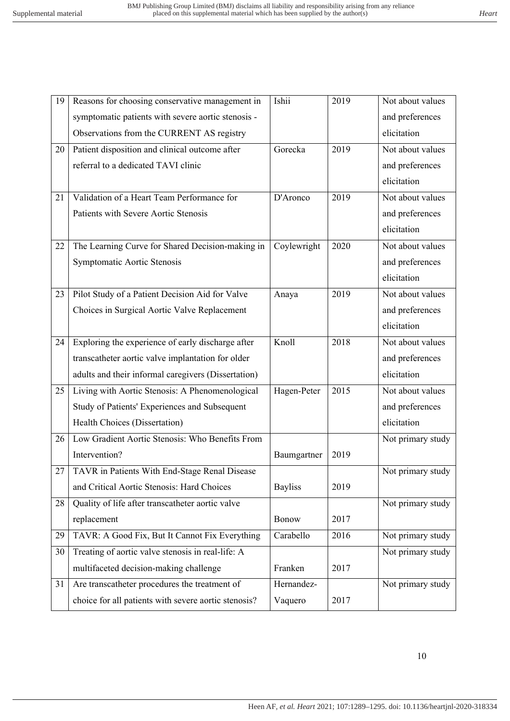| 19 | Reasons for choosing conservative management in      | Ishii          | 2019 | Not about values  |
|----|------------------------------------------------------|----------------|------|-------------------|
|    | symptomatic patients with severe aortic stenosis -   |                |      | and preferences   |
|    | Observations from the CURRENT AS registry            |                |      | elicitation       |
| 20 | Patient disposition and clinical outcome after       | Gorecka        | 2019 | Not about values  |
|    | referral to a dedicated TAVI clinic                  |                |      | and preferences   |
|    |                                                      |                |      | elicitation       |
| 21 | Validation of a Heart Team Performance for           | D'Aronco       | 2019 | Not about values  |
|    | Patients with Severe Aortic Stenosis                 |                |      | and preferences   |
|    |                                                      |                |      | elicitation       |
| 22 | The Learning Curve for Shared Decision-making in     | Coylewright    | 2020 | Not about values  |
|    | Symptomatic Aortic Stenosis                          |                |      | and preferences   |
|    |                                                      |                |      | elicitation       |
| 23 | Pilot Study of a Patient Decision Aid for Valve      | Anaya          | 2019 | Not about values  |
|    | Choices in Surgical Aortic Valve Replacement         |                |      | and preferences   |
|    |                                                      |                |      | elicitation       |
| 24 | Exploring the experience of early discharge after    | Knoll          | 2018 | Not about values  |
|    | transcatheter aortic valve implantation for older    |                |      | and preferences   |
|    | adults and their informal caregivers (Dissertation)  |                |      | elicitation       |
| 25 | Living with Aortic Stenosis: A Phenomenological      | Hagen-Peter    | 2015 | Not about values  |
|    | Study of Patients' Experiences and Subsequent        |                |      | and preferences   |
|    | Health Choices (Dissertation)                        |                |      | elicitation       |
| 26 | Low Gradient Aortic Stenosis: Who Benefits From      |                |      | Not primary study |
|    | Intervention?                                        | Baumgartner    | 2019 |                   |
| 27 | TAVR in Patients With End-Stage Renal Disease        |                |      | Not primary study |
|    | and Critical Aortic Stenosis: Hard Choices           | <b>Bayliss</b> | 2019 |                   |
| 28 | Quality of life after transcatheter aortic valve     |                |      | Not primary study |
|    | replacement                                          | Bonow          | 2017 |                   |
| 29 | TAVR: A Good Fix, But It Cannot Fix Everything       | Carabello      | 2016 | Not primary study |
| 30 | Treating of aortic valve stenosis in real-life: A    |                |      | Not primary study |
|    | multifaceted decision-making challenge               | Franken        | 2017 |                   |
| 31 | Are transcatheter procedures the treatment of        | Hernandez-     |      | Not primary study |
|    | choice for all patients with severe aortic stenosis? | Vaquero        | 2017 |                   |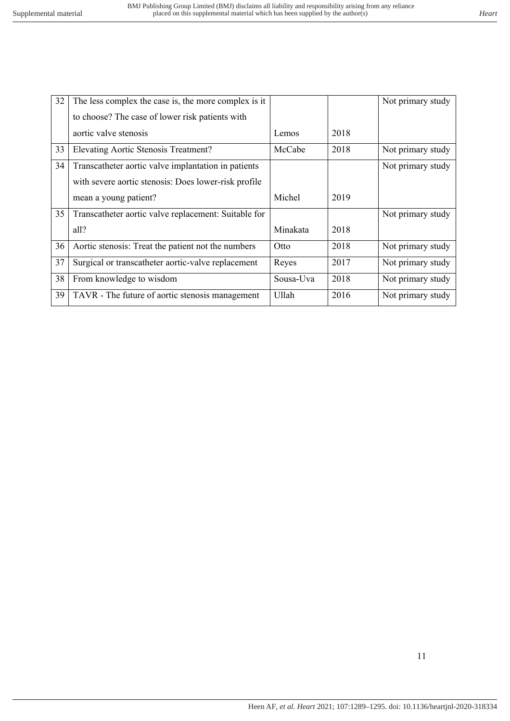| 32 | The less complex the case is, the more complex is it |           |      | Not primary study |
|----|------------------------------------------------------|-----------|------|-------------------|
|    | to choose? The case of lower risk patients with      |           |      |                   |
|    | aortic valve stenosis                                | Lemos     | 2018 |                   |
| 33 | Elevating Aortic Stenosis Treatment?                 | McCabe    | 2018 | Not primary study |
| 34 | Transcatheter aortic valve implantation in patients  |           |      | Not primary study |
|    | with severe aortic stenosis: Does lower-risk profile |           |      |                   |
|    | mean a young patient?                                | Michel    | 2019 |                   |
| 35 | Transcatheter aortic valve replacement: Suitable for |           |      | Not primary study |
|    | all?                                                 | Minakata  | 2018 |                   |
| 36 | Aortic stenosis: Treat the patient not the numbers   | Otto      | 2018 | Not primary study |
| 37 | Surgical or transcatheter aortic-valve replacement   | Reyes     | 2017 | Not primary study |
| 38 | From knowledge to wisdom                             | Sousa-Uva | 2018 | Not primary study |
| 39 | TAVR - The future of aortic stenosis management      | Ullah     | 2016 | Not primary study |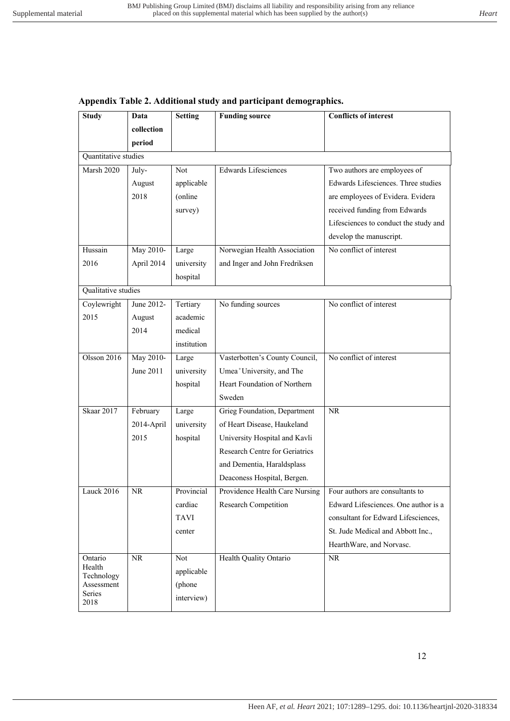| <b>Study</b>         | Data       | <b>Setting</b> | <b>Funding source</b>          | <b>Conflicts of interest</b>          |
|----------------------|------------|----------------|--------------------------------|---------------------------------------|
|                      | collection |                |                                |                                       |
|                      | period     |                |                                |                                       |
| Quantitative studies |            |                |                                |                                       |
| Marsh 2020           | July-      | Not            | <b>Edwards Lifesciences</b>    | Two authors are employees of          |
|                      | August     | applicable     |                                | Edwards Lifesciences. Three studies   |
|                      | 2018       | (online)       |                                | are employees of Evidera. Evidera     |
|                      |            | survey)        |                                | received funding from Edwards         |
|                      |            |                |                                | Lifesciences to conduct the study and |
|                      |            |                |                                | develop the manuscript.               |
| Hussain              | May 2010-  | Large          | Norwegian Health Association   | No conflict of interest               |
| 2016                 | April 2014 | university     | and Inger and John Fredriksen  |                                       |
|                      |            | hospital       |                                |                                       |
| Qualitative studies  |            |                |                                |                                       |
| Coylewright          | June 2012- | Tertiary       | No funding sources             | No conflict of interest               |
| 2015                 | August     | academic       |                                |                                       |
|                      | 2014       | medical        |                                |                                       |
|                      |            | institution    |                                |                                       |
| Olsson 2016          | May 2010-  | Large          | Vasterbotten's County Council, | No conflict of interest               |
|                      | June 2011  | university     | Umea°University, and The       |                                       |
|                      |            | hospital       | Heart Foundation of Northern   |                                       |
|                      |            |                | Sweden                         |                                       |
| Skaar 2017           | February   | Large          | Grieg Foundation, Department   | NR                                    |
|                      | 2014-April | university     | of Heart Disease, Haukeland    |                                       |
|                      | 2015       | hospital       | University Hospital and Kavli  |                                       |
|                      |            |                | Research Centre for Geriatrics |                                       |
|                      |            |                | and Dementia, Haraldsplass     |                                       |
|                      |            |                | Deaconess Hospital, Bergen.    |                                       |
| Lauck $2016$         | <b>NR</b>  | Provincial     | Providence Health Care Nursing | Four authors are consultants to       |
|                      |            | cardiac        | Research Competition           | Edward Lifesciences. One author is a  |
|                      |            | <b>TAVI</b>    |                                | consultant for Edward Lifesciences,   |
|                      |            | center         |                                | St. Jude Medical and Abbott Inc.,     |
|                      |            |                |                                | HearthWare, and Norvasc.              |
| Ontario              | <b>NR</b>  | Not            | Health Quality Ontario         | $\rm NR$                              |
| Health<br>Technology |            | applicable     |                                |                                       |
| Assessment           |            | (phone         |                                |                                       |
| Series<br>2018       |            | interview)     |                                |                                       |
|                      |            |                |                                |                                       |

#### **Appendix Table 2. Additional study and participant demographics.**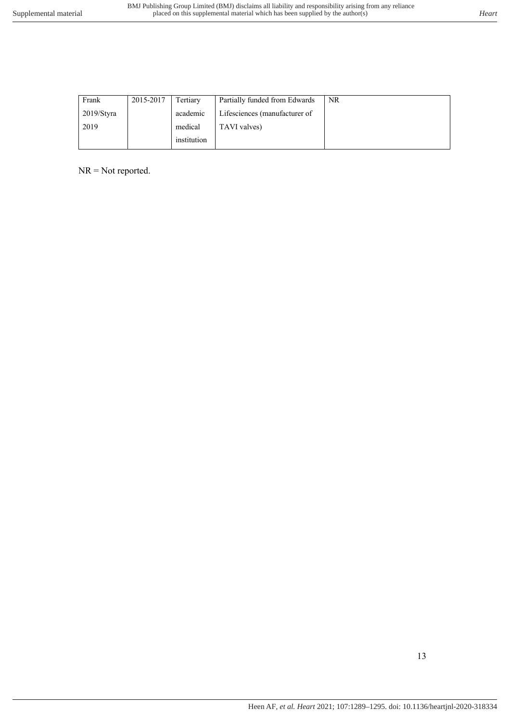| Frank      | 2015-2017 | Tertiary    | Partially funded from Edwards | NR. |
|------------|-----------|-------------|-------------------------------|-----|
| 2019/Styra |           | academic    | Lifesciences (manufacturer of |     |
| 2019       |           | medical     | TAVI valves)                  |     |
|            |           | institution |                               |     |

NR = Not reported.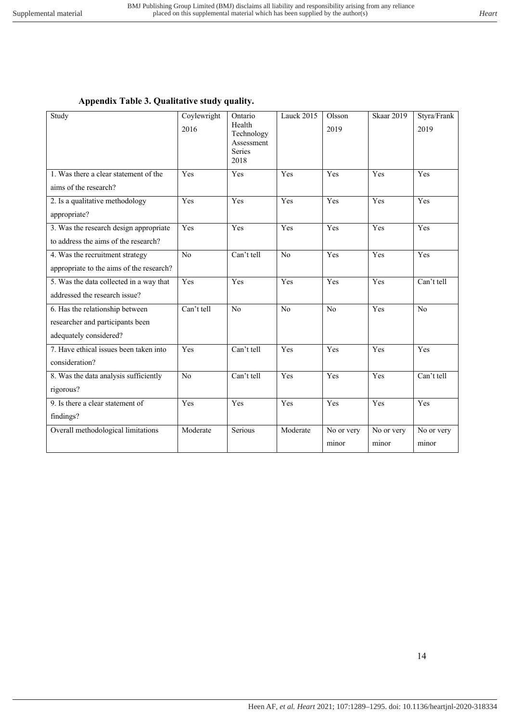#### **Appendix Table 3. Qualitative study quality.**

| Study                                    | Coylewright<br>2016 | Ontario<br>Health<br>Technology<br>Assessment<br>Series<br>2018 | Lauck 2015     | Olsson<br>2019 | <b>Skaar 2019</b> | Styra/Frank<br>2019 |
|------------------------------------------|---------------------|-----------------------------------------------------------------|----------------|----------------|-------------------|---------------------|
| 1. Was there a clear statement of the    | Yes                 | Yes                                                             | Yes            | Yes            | Yes               | Yes                 |
| aims of the research?                    |                     |                                                                 |                |                |                   |                     |
| 2. Is a qualitative methodology          | Yes                 | Yes                                                             | Yes            | Yes            | Yes               | Yes                 |
| appropriate?                             |                     |                                                                 |                |                |                   |                     |
| 3. Was the research design appropriate   | Yes                 | Yes                                                             | Yes            | Yes            | Yes               | Yes                 |
| to address the aims of the research?     |                     |                                                                 |                |                |                   |                     |
| 4. Was the recruitment strategy          | No                  | Can't tell                                                      | No             | Yes            | Yes               | Yes                 |
| appropriate to the aims of the research? |                     |                                                                 |                |                |                   |                     |
| 5. Was the data collected in a way that  | Yes                 | Yes                                                             | Yes            | Yes            | Yes               | Can't tell          |
| addressed the research issue?            |                     |                                                                 |                |                |                   |                     |
| 6. Has the relationship between          | Can't tell          | N <sub>o</sub>                                                  | N <sub>o</sub> | N <sub>o</sub> | Yes               | N <sub>o</sub>      |
| researcher and participants been         |                     |                                                                 |                |                |                   |                     |
| adequately considered?                   |                     |                                                                 |                |                |                   |                     |
| 7. Have ethical issues been taken into   | Yes                 | Can't tell                                                      | Yes            | Yes            | Yes               | Yes                 |
| consideration?                           |                     |                                                                 |                |                |                   |                     |
| 8. Was the data analysis sufficiently    | No                  | Can't tell                                                      | Yes            | Yes            | Yes               | Can't tell          |
| rigorous?                                |                     |                                                                 |                |                |                   |                     |
| 9. Is there a clear statement of         | Yes                 | Yes                                                             | Yes            | Yes            | Yes               | Yes                 |
| findings?                                |                     |                                                                 |                |                |                   |                     |
| Overall methodological limitations       | Moderate            | Serious                                                         | Moderate       | No or very     | No or very        | No or very          |
|                                          |                     |                                                                 |                | minor          | minor             | minor               |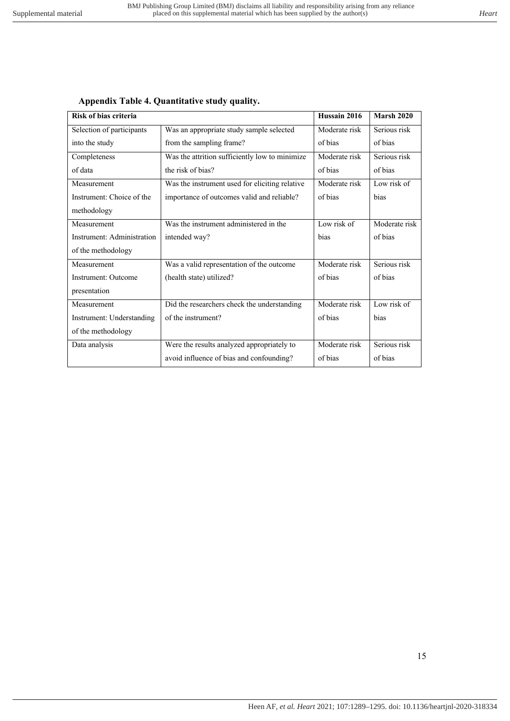|  |  | Appendix Table 4. Quantitative study quality. |  |  |
|--|--|-----------------------------------------------|--|--|
|--|--|-----------------------------------------------|--|--|

| Risk of bias criteria      |                                                | Hussain 2016  | <b>Marsh 2020</b> |
|----------------------------|------------------------------------------------|---------------|-------------------|
| Selection of participants  | Was an appropriate study sample selected       | Moderate risk | Serious risk      |
| into the study             | from the sampling frame?                       | of bias       | of bias           |
| Completeness               | Was the attrition sufficiently low to minimize | Moderate risk | Serious risk      |
| of data                    | the risk of bias?                              | of bias       | of bias           |
| Measurement                | Was the instrument used for eliciting relative | Moderate risk | Low risk of       |
| Instrument: Choice of the  | importance of outcomes valid and reliable?     | of hias       | hias              |
| methodology                |                                                |               |                   |
| Measurement                | Was the instrument administered in the         | Low risk of   | Moderate risk     |
| Instrument: Administration | intended way?                                  | bias          | of bias           |
| of the methodology         |                                                |               |                   |
| Measurement                | Was a valid representation of the outcome      | Moderate risk | Serious risk      |
| Instrument: Outcome        | (health state) utilized?                       | of bias       | of bias           |
| presentation               |                                                |               |                   |
| Measurement                | Did the researchers check the understanding    | Moderate risk | Low risk of       |
| Instrument: Understanding  | of the instrument?                             | of bias       | bias              |
| of the methodology         |                                                |               |                   |
| Data analysis              | Were the results analyzed appropriately to     | Moderate risk | Serious risk      |
|                            | avoid influence of bias and confounding?       | of bias       | of bias           |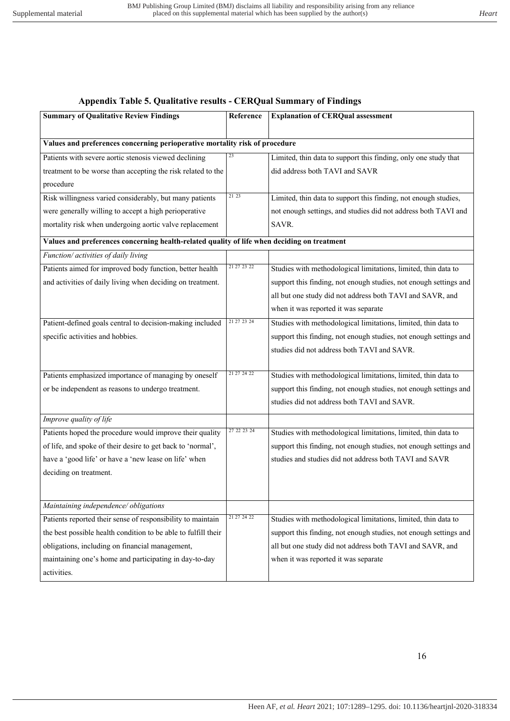#### **Appendix Table 5. Qualitative results - CERQual Summary of Findings**

| <b>Summary of Qualitative Review Findings</b>                                               | Reference   | <b>Explanation of CERQual assessment</b>                          |  |
|---------------------------------------------------------------------------------------------|-------------|-------------------------------------------------------------------|--|
|                                                                                             |             |                                                                   |  |
| Values and preferences concerning perioperative mortality risk of procedure                 |             |                                                                   |  |
| Patients with severe aortic stenosis viewed declining                                       | 23          | Limited, thin data to support this finding, only one study that   |  |
| treatment to be worse than accepting the risk related to the                                |             | did address both TAVI and SAVR                                    |  |
| procedure                                                                                   |             |                                                                   |  |
| Risk willingness varied considerably, but many patients                                     | 21 23       | Limited, thin data to support this finding, not enough studies,   |  |
| were generally willing to accept a high perioperative                                       |             | not enough settings, and studies did not address both TAVI and    |  |
| mortality risk when undergoing aortic valve replacement                                     |             | SAVR.                                                             |  |
| Values and preferences concerning health-related quality of life when deciding on treatment |             |                                                                   |  |
| Function/ activities of daily living                                                        |             |                                                                   |  |
| Patients aimed for improved body function, better health                                    | 21 27 23 22 | Studies with methodological limitations, limited, thin data to    |  |
| and activities of daily living when deciding on treatment.                                  |             | support this finding, not enough studies, not enough settings and |  |
|                                                                                             |             | all but one study did not address both TAVI and SAVR, and         |  |
|                                                                                             |             | when it was reported it was separate                              |  |
| Patient-defined goals central to decision-making included                                   | 21 27 23 24 | Studies with methodological limitations, limited, thin data to    |  |
| specific activities and hobbies.                                                            |             | support this finding, not enough studies, not enough settings and |  |
|                                                                                             |             | studies did not address both TAVI and SAVR.                       |  |
|                                                                                             |             |                                                                   |  |
| Patients emphasized importance of managing by oneself                                       | 21 27 24 22 | Studies with methodological limitations, limited, thin data to    |  |
| or be independent as reasons to undergo treatment.                                          |             | support this finding, not enough studies, not enough settings and |  |
|                                                                                             |             | studies did not address both TAVI and SAVR.                       |  |
| Improve quality of life                                                                     |             |                                                                   |  |
| Patients hoped the procedure would improve their quality                                    | 27 22 23 24 | Studies with methodological limitations, limited, thin data to    |  |
| of life, and spoke of their desire to get back to 'normal',                                 |             | support this finding, not enough studies, not enough settings and |  |
| have a 'good life' or have a 'new lease on life' when                                       |             | studies and studies did not address both TAVI and SAVR            |  |
| deciding on treatment.                                                                      |             |                                                                   |  |
|                                                                                             |             |                                                                   |  |
| Maintaining independence/obligations                                                        |             |                                                                   |  |
| Patients reported their sense of responsibility to maintain                                 | 21 27 24 22 | Studies with methodological limitations, limited, thin data to    |  |
| the best possible health condition to be able to fulfill their                              |             | support this finding, not enough studies, not enough settings and |  |
| obligations, including on financial management,                                             |             | all but one study did not address both TAVI and SAVR, and         |  |
| maintaining one's home and participating in day-to-day                                      |             | when it was reported it was separate                              |  |
| activities.                                                                                 |             |                                                                   |  |